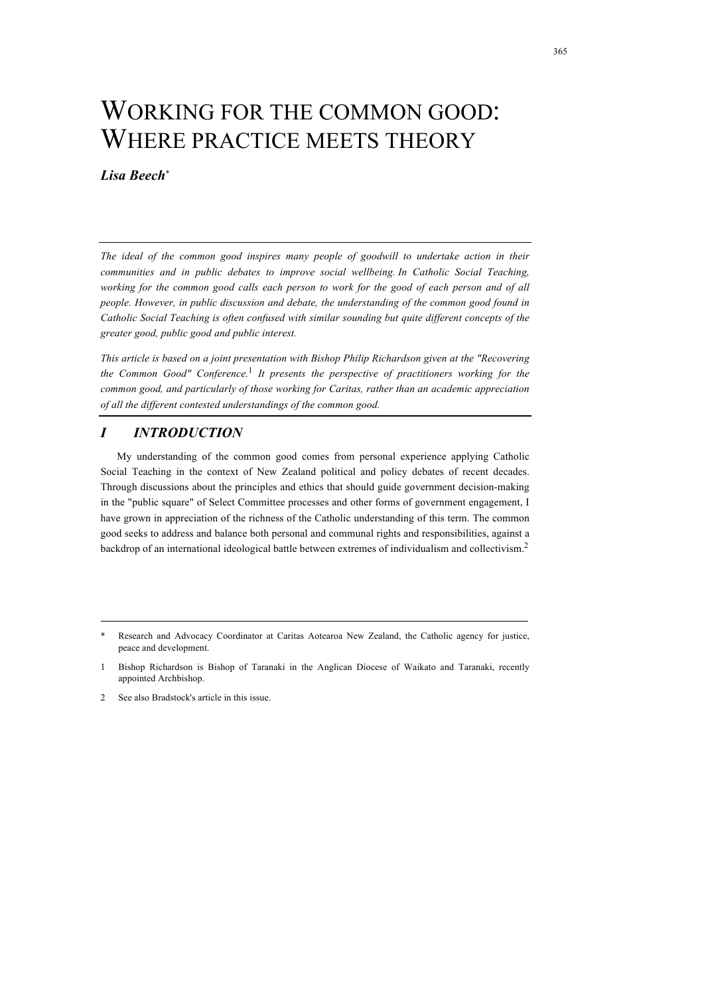# WORKING FOR THE COMMON GOOD: WHERE PRACTICE MEETS THEORY

# *Lisa Beech*\*

*The ideal of the common good inspires many people of goodwill to undertake action in their communities and in public debates to improve social wellbeing. In Catholic Social Teaching,*  working for the common good calls each person to work for the good of each person and of all *people. However, in public discussion and debate, the understanding of the common good found in Catholic Social Teaching is often confused with similar sounding but quite different concepts of the greater good, public good and public interest.*

*This article is based on a joint presentation with Bishop Philip Richardson given at the "Recovering the Common Good" Conference.*1 *It presents the perspective of practitioners working for the common good, and particularly of those working for Caritas, rather than an academic appreciation of all the different contested understandings of the common good.* 

# *I INTRODUCTION*

My understanding of the common good comes from personal experience applying Catholic Social Teaching in the context of New Zealand political and policy debates of recent decades. Through discussions about the principles and ethics that should guide government decision-making in the "public square" of Select Committee processes and other forms of government engagement, I have grown in appreciation of the richness of the Catholic understanding of this term. The common good seeks to address and balance both personal and communal rights and responsibilities, against a backdrop of an international ideological battle between extremes of individualism and collectivism.<sup>2</sup>

Research and Advocacy Coordinator at Caritas Aotearoa New Zealand, the Catholic agency for justice, peace and development.

<sup>1</sup> Bishop Richardson is Bishop of Taranaki in the Anglican Diocese of Waikato and Taranaki, recently appointed Archbishop.

<sup>2</sup> See also Bradstock's article in this issue.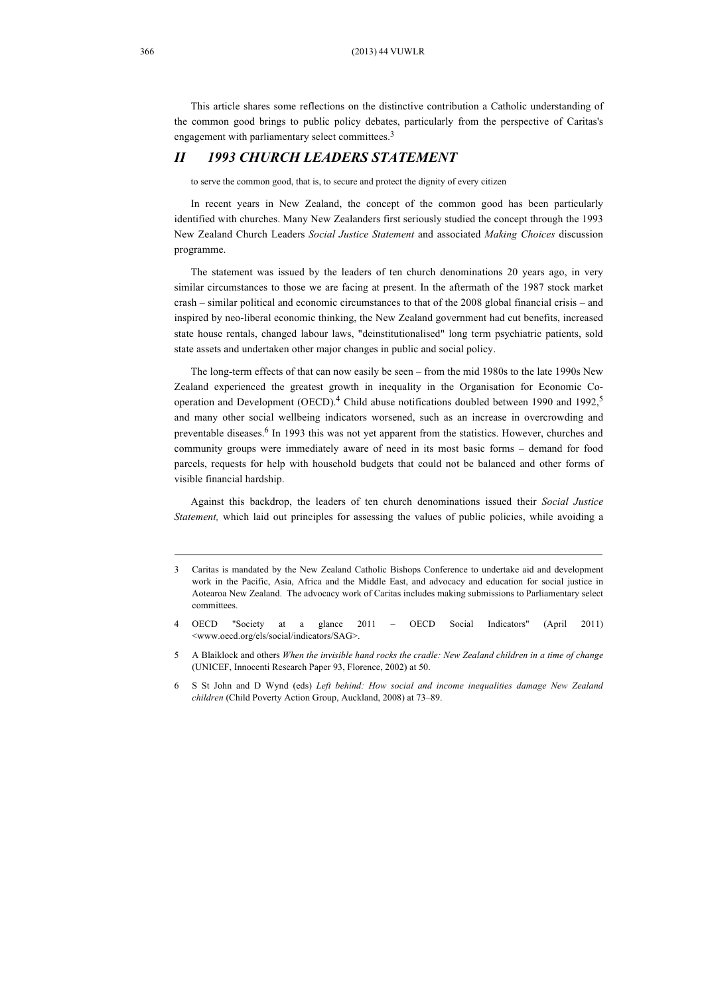This article shares some reflections on the distinctive contribution a Catholic understanding of the common good brings to public policy debates, particularly from the perspective of Caritas's engagement with parliamentary select committees.<sup>3</sup>

## *II 1993 CHURCH LEADERS STATEMENT*

to serve the common good, that is, to secure and protect the dignity of every citizen

In recent years in New Zealand, the concept of the common good has been particularly identified with churches. Many New Zealanders first seriously studied the concept through the 1993 New Zealand Church Leaders *Social Justice Statement* and associated *Making Choices* discussion programme.

The statement was issued by the leaders of ten church denominations 20 years ago, in very similar circumstances to those we are facing at present. In the aftermath of the 1987 stock market crash – similar political and economic circumstances to that of the 2008 global financial crisis – and inspired by neo-liberal economic thinking, the New Zealand government had cut benefits, increased state house rentals, changed labour laws, "deinstitutionalised" long term psychiatric patients, sold state assets and undertaken other major changes in public and social policy.

The long-term effects of that can now easily be seen – from the mid 1980s to the late 1990s New Zealand experienced the greatest growth in inequality in the Organisation for Economic Cooperation and Development (OECD).<sup>4</sup> Child abuse notifications doubled between 1990 and 1992,<sup>5</sup> and many other social wellbeing indicators worsened, such as an increase in overcrowding and preventable diseases. 6 In 1993 this was not yet apparent from the statistics. However, churches and community groups were immediately aware of need in its most basic forms – demand for food parcels, requests for help with household budgets that could not be balanced and other forms of visible financial hardship.

Against this backdrop, the leaders of ten church denominations issued their *Social Justice Statement,* which laid out principles for assessing the values of public policies, while avoiding a

<sup>3</sup> Caritas is mandated by the New Zealand Catholic Bishops Conference to undertake aid and development work in the Pacific, Asia, Africa and the Middle East, and advocacy and education for social justice in Aotearoa New Zealand. The advocacy work of Caritas includes making submissions to Parliamentary select committees.

<sup>4</sup> OECD "Society at a glance 2011 – OECD Social Indicators" (April 2011) <www.oecd.org/els/social/indicators/SAG>.

<sup>5</sup> A Blaiklock and others *When the invisible hand rocks the cradle: New Zealand children in a time of change*  (UNICEF, Innocenti Research Paper 93, Florence, 2002) at 50.

<sup>6</sup> S St John and D Wynd (eds) *Left behind: How social and income inequalities damage New Zealand children* (Child Poverty Action Group, Auckland, 2008) at 73–89.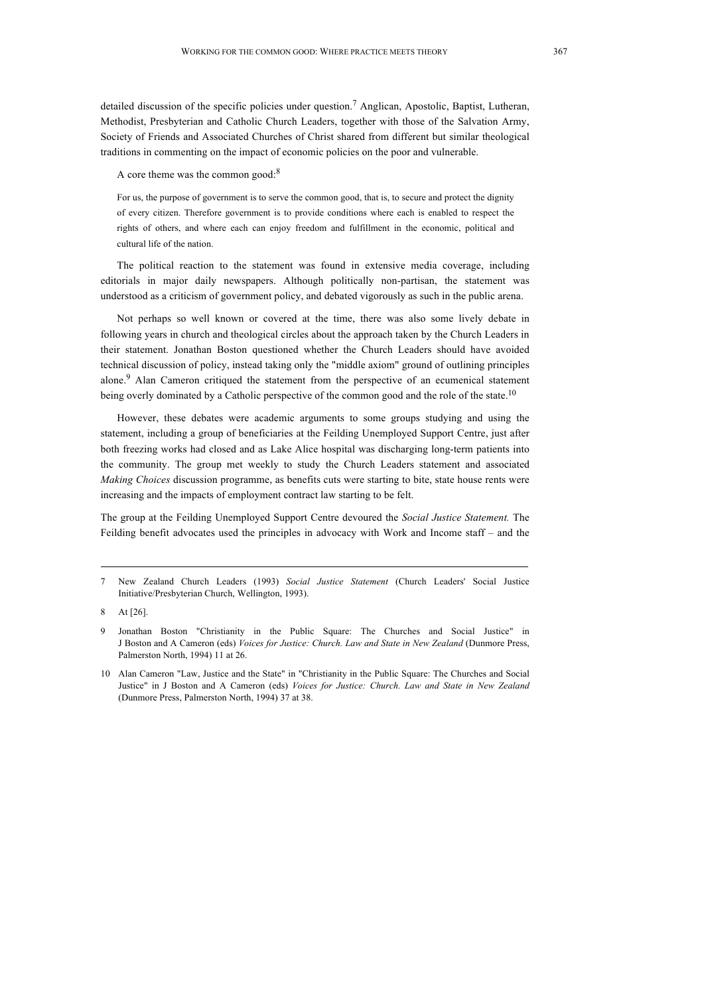detailed discussion of the specific policies under question.7 Anglican, Apostolic, Baptist, Lutheran, Methodist, Presbyterian and Catholic Church Leaders, together with those of the Salvation Army, Society of Friends and Associated Churches of Christ shared from different but similar theological traditions in commenting on the impact of economic policies on the poor and vulnerable.

A core theme was the common good:<sup>8</sup>

For us, the purpose of government is to serve the common good, that is, to secure and protect the dignity of every citizen. Therefore government is to provide conditions where each is enabled to respect the rights of others, and where each can enjoy freedom and fulfillment in the economic, political and cultural life of the nation.

The political reaction to the statement was found in extensive media coverage, including editorials in major daily newspapers. Although politically non-partisan, the statement was understood as a criticism of government policy, and debated vigorously as such in the public arena.

Not perhaps so well known or covered at the time, there was also some lively debate in following years in church and theological circles about the approach taken by the Church Leaders in their statement. Jonathan Boston questioned whether the Church Leaders should have avoided technical discussion of policy, instead taking only the "middle axiom" ground of outlining principles alone.<sup>9</sup> Alan Cameron critiqued the statement from the perspective of an ecumenical statement being overly dominated by a Catholic perspective of the common good and the role of the state.<sup>10</sup>

However, these debates were academic arguments to some groups studying and using the statement, including a group of beneficiaries at the Feilding Unemployed Support Centre, just after both freezing works had closed and as Lake Alice hospital was discharging long-term patients into the community. The group met weekly to study the Church Leaders statement and associated *Making Choices* discussion programme, as benefits cuts were starting to bite, state house rents were increasing and the impacts of employment contract law starting to be felt.

The group at the Feilding Unemployed Support Centre devoured the *Social Justice Statement.* The Feilding benefit advocates used the principles in advocacy with Work and Income staff – and the

<sup>7</sup> New Zealand Church Leaders (1993) *Social Justice Statement* (Church Leaders' Social Justice Initiative/Presbyterian Church, Wellington, 1993).

<sup>8</sup> At [26].

<sup>9</sup> Jonathan Boston "Christianity in the Public Square: The Churches and Social Justice" in J Boston and A Cameron (eds) *Voices for Justice: Church. Law and State in New Zealand* (Dunmore Press, Palmerston North, 1994) 11 at 26.

<sup>10</sup> Alan Cameron "Law, Justice and the State" in "Christianity in the Public Square: The Churches and Social Justice" in J Boston and A Cameron (eds) *Voices for Justice: Church. Law and State in New Zealand* (Dunmore Press, Palmerston North, 1994) 37 at 38.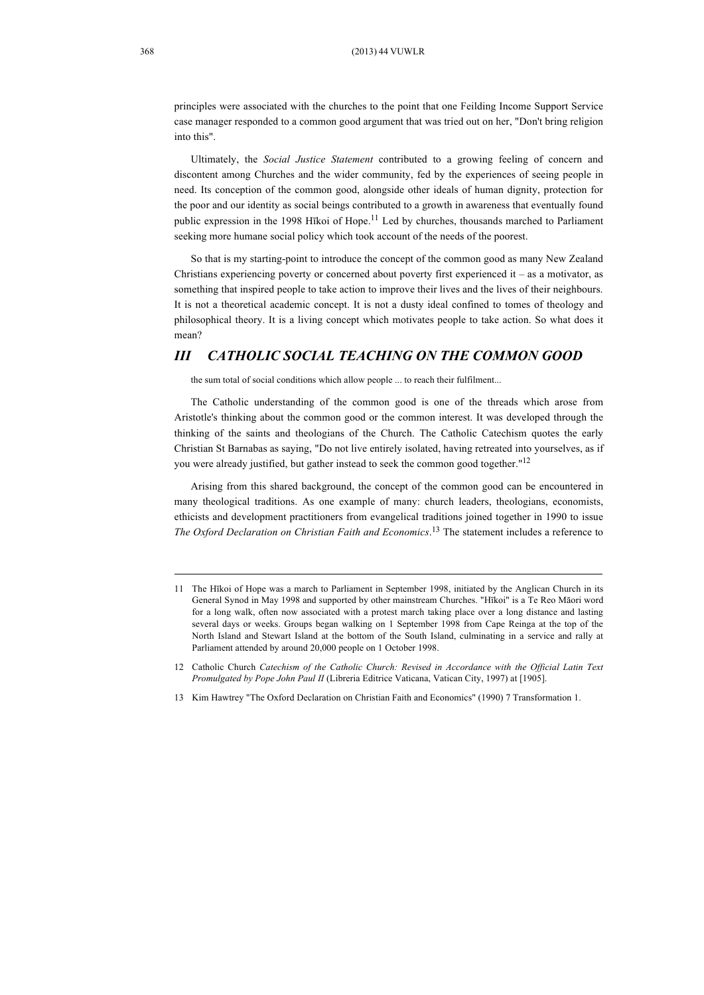principles were associated with the churches to the point that one Feilding Income Support Service case manager responded to a common good argument that was tried out on her, "Don't bring religion into this".

Ultimately, the *Social Justice Statement* contributed to a growing feeling of concern and discontent among Churches and the wider community, fed by the experiences of seeing people in need. Its conception of the common good, alongside other ideals of human dignity, protection for the poor and our identity as social beings contributed to a growth in awareness that eventually found public expression in the 1998 Hīkoi of Hope.<sup>11</sup> Led by churches, thousands marched to Parliament seeking more humane social policy which took account of the needs of the poorest.

So that is my starting-point to introduce the concept of the common good as many New Zealand Christians experiencing poverty or concerned about poverty first experienced it – as a motivator, as something that inspired people to take action to improve their lives and the lives of their neighbours. It is not a theoretical academic concept. It is not a dusty ideal confined to tomes of theology and philosophical theory. It is a living concept which motivates people to take action. So what does it mean?

## *III CATHOLIC SOCIAL TEACHING ON THE COMMON GOOD*

the sum total of social conditions which allow people ... to reach their fulfilment...

The Catholic understanding of the common good is one of the threads which arose from Aristotle's thinking about the common good or the common interest. It was developed through the thinking of the saints and theologians of the Church. The Catholic Catechism quotes the early Christian St Barnabas as saying, "Do not live entirely isolated, having retreated into yourselves, as if you were already justified, but gather instead to seek the common good together."12

Arising from this shared background, the concept of the common good can be encountered in many theological traditions. As one example of many: church leaders, theologians, economists, ethicists and development practitioners from evangelical traditions joined together in 1990 to issue *The Oxford Declaration on Christian Faith and Economics*. <sup>13</sup> The statement includes a reference to

<sup>11</sup> The Hīkoi of Hope was a march to Parliament in September 1998, initiated by the Anglican Church in its General Synod in May 1998 and supported by other mainstream Churches. "Hīkoi" is a Te Reo Māori word for a long walk, often now associated with a protest march taking place over a long distance and lasting several days or weeks. Groups began walking on 1 September 1998 from Cape Reinga at the top of the North Island and Stewart Island at the bottom of the South Island, culminating in a service and rally at Parliament attended by around 20,000 people on 1 October 1998.

<sup>12</sup> Catholic Church *Catechism of the Catholic Church: Revised in Accordance with the Official Latin Text Promulgated by Pope John Paul II* (Libreria Editrice Vaticana, Vatican City, 1997) at [1905].

<sup>13</sup> Kim Hawtrey "The Oxford Declaration on Christian Faith and Economics" (1990) 7 Transformation 1.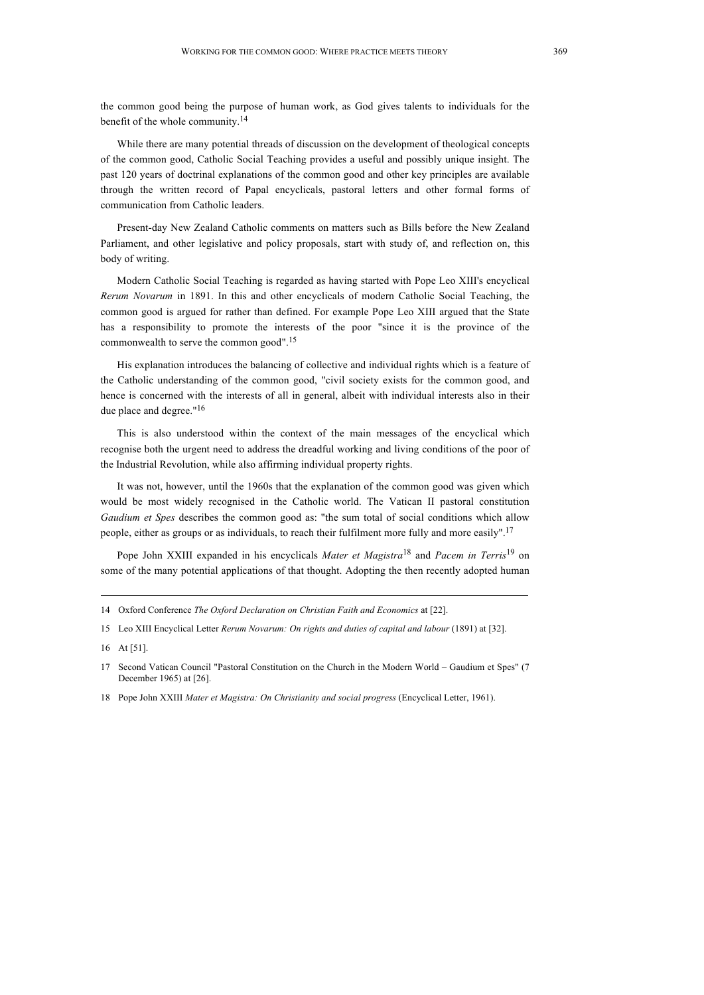the common good being the purpose of human work, as God gives talents to individuals for the benefit of the whole community.14

While there are many potential threads of discussion on the development of theological concepts of the common good, Catholic Social Teaching provides a useful and possibly unique insight. The past 120 years of doctrinal explanations of the common good and other key principles are available through the written record of Papal encyclicals, pastoral letters and other formal forms of communication from Catholic leaders.

Present-day New Zealand Catholic comments on matters such as Bills before the New Zealand Parliament, and other legislative and policy proposals, start with study of, and reflection on, this body of writing.

Modern Catholic Social Teaching is regarded as having started with Pope Leo XIII's encyclical *Rerum Novarum* in 1891. In this and other encyclicals of modern Catholic Social Teaching, the common good is argued for rather than defined. For example Pope Leo XIII argued that the State has a responsibility to promote the interests of the poor "since it is the province of the commonwealth to serve the common good". 15

His explanation introduces the balancing of collective and individual rights which is a feature of the Catholic understanding of the common good, "civil society exists for the common good, and hence is concerned with the interests of all in general, albeit with individual interests also in their due place and degree."<sup>16</sup>

This is also understood within the context of the main messages of the encyclical which recognise both the urgent need to address the dreadful working and living conditions of the poor of the Industrial Revolution, while also affirming individual property rights.

It was not, however, until the 1960s that the explanation of the common good was given which would be most widely recognised in the Catholic world. The Vatican II pastoral constitution *Gaudium et Spes* describes the common good as: "the sum total of social conditions which allow people, either as groups or as individuals, to reach their fulfilment more fully and more easily".<sup>17</sup>

Pope John XXIII expanded in his encyclicals *Mater et Magistra*<sup>18</sup> and *Pacem in Terris*<sup>19</sup> on some of the many potential applications of that thought. Adopting the then recently adopted human

<sup>14</sup> Oxford Conference *The Oxford Declaration on Christian Faith and Economics* at [22].

<sup>15</sup> Leo XIII Encyclical Letter *Rerum Novarum: On rights and duties of capital and labour* (1891) at [32].

<sup>16</sup> At [51].

<sup>17</sup> Second Vatican Council "Pastoral Constitution on the Church in the Modern World – Gaudium et Spes" (7 December 1965) at [26].

<sup>18</sup> Pope John XXIII *Mater et Magistra: On Christianity and social progress* (Encyclical Letter, 1961).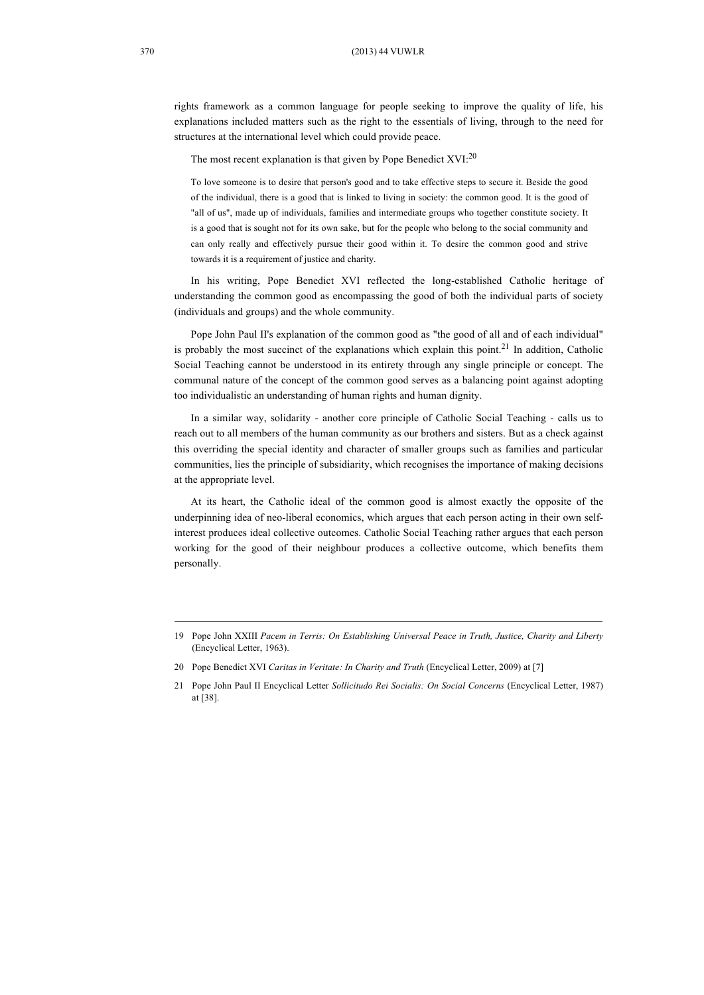rights framework as a common language for people seeking to improve the quality of life, his explanations included matters such as the right to the essentials of living, through to the need for structures at the international level which could provide peace.

The most recent explanation is that given by Pope Benedict  $XVI:^{20}$ 

To love someone is to desire that person's good and to take effective steps to secure it. Beside the good of the individual, there is a good that is linked to living in society: the common good. It is the good of "all of us", made up of individuals, families and intermediate groups who together constitute society. It is a good that is sought not for its own sake, but for the people who belong to the social community and can only really and effectively pursue their good within it. To desire the common good and strive towards it is a requirement of justice and charity.

In his writing, Pope Benedict XVI reflected the long-established Catholic heritage of understanding the common good as encompassing the good of both the individual parts of society (individuals and groups) and the whole community.

Pope John Paul II's explanation of the common good as "the good of all and of each individual" is probably the most succinct of the explanations which explain this point.<sup>21</sup> In addition, Catholic Social Teaching cannot be understood in its entirety through any single principle or concept. The communal nature of the concept of the common good serves as a balancing point against adopting too individualistic an understanding of human rights and human dignity.

In a similar way, solidarity - another core principle of Catholic Social Teaching - calls us to reach out to all members of the human community as our brothers and sisters. But as a check against this overriding the special identity and character of smaller groups such as families and particular communities, lies the principle of subsidiarity, which recognises the importance of making decisions at the appropriate level.

At its heart, the Catholic ideal of the common good is almost exactly the opposite of the underpinning idea of neo-liberal economics, which argues that each person acting in their own selfinterest produces ideal collective outcomes. Catholic Social Teaching rather argues that each person working for the good of their neighbour produces a collective outcome, which benefits them personally.

<sup>19</sup> Pope John XXIII *Pacem in Terris: On Establishing Universal Peace in Truth, Justice, Charity and Liberty* (Encyclical Letter, 1963).

<sup>20</sup> Pope Benedict XVI *Caritas in Veritate: In Charity and Truth* (Encyclical Letter, 2009) at [7]

<sup>21</sup> Pope John Paul II Encyclical Letter *Sollicitudo Rei Socialis: On Social Concerns* (Encyclical Letter, 1987) at [38].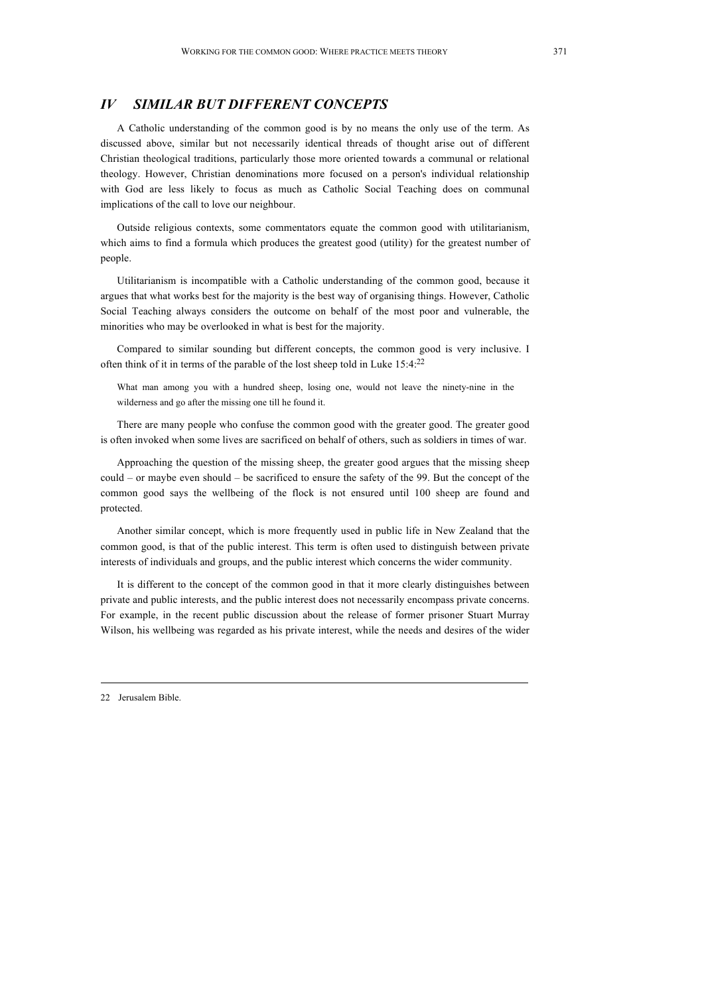## *IV SIMILAR BUT DIFFERENT CONCEPTS*

A Catholic understanding of the common good is by no means the only use of the term. As discussed above, similar but not necessarily identical threads of thought arise out of different Christian theological traditions, particularly those more oriented towards a communal or relational theology. However, Christian denominations more focused on a person's individual relationship with God are less likely to focus as much as Catholic Social Teaching does on communal implications of the call to love our neighbour.

Outside religious contexts, some commentators equate the common good with utilitarianism, which aims to find a formula which produces the greatest good (utility) for the greatest number of people.

Utilitarianism is incompatible with a Catholic understanding of the common good, because it argues that what works best for the majority is the best way of organising things. However, Catholic Social Teaching always considers the outcome on behalf of the most poor and vulnerable, the minorities who may be overlooked in what is best for the majority.

Compared to similar sounding but different concepts, the common good is very inclusive. I often think of it in terms of the parable of the lost sheep told in Luke 15:4:22

What man among you with a hundred sheep, losing one, would not leave the ninety-nine in the wilderness and go after the missing one till he found it.

There are many people who confuse the common good with the greater good. The greater good is often invoked when some lives are sacrificed on behalf of others, such as soldiers in times of war.

Approaching the question of the missing sheep, the greater good argues that the missing sheep could – or maybe even should – be sacrificed to ensure the safety of the 99. But the concept of the common good says the wellbeing of the flock is not ensured until 100 sheep are found and protected.

Another similar concept, which is more frequently used in public life in New Zealand that the common good, is that of the public interest. This term is often used to distinguish between private interests of individuals and groups, and the public interest which concerns the wider community.

It is different to the concept of the common good in that it more clearly distinguishes between private and public interests, and the public interest does not necessarily encompass private concerns. For example, in the recent public discussion about the release of former prisoner Stuart Murray Wilson, his wellbeing was regarded as his private interest, while the needs and desires of the wider

22 Jerusalem Bible.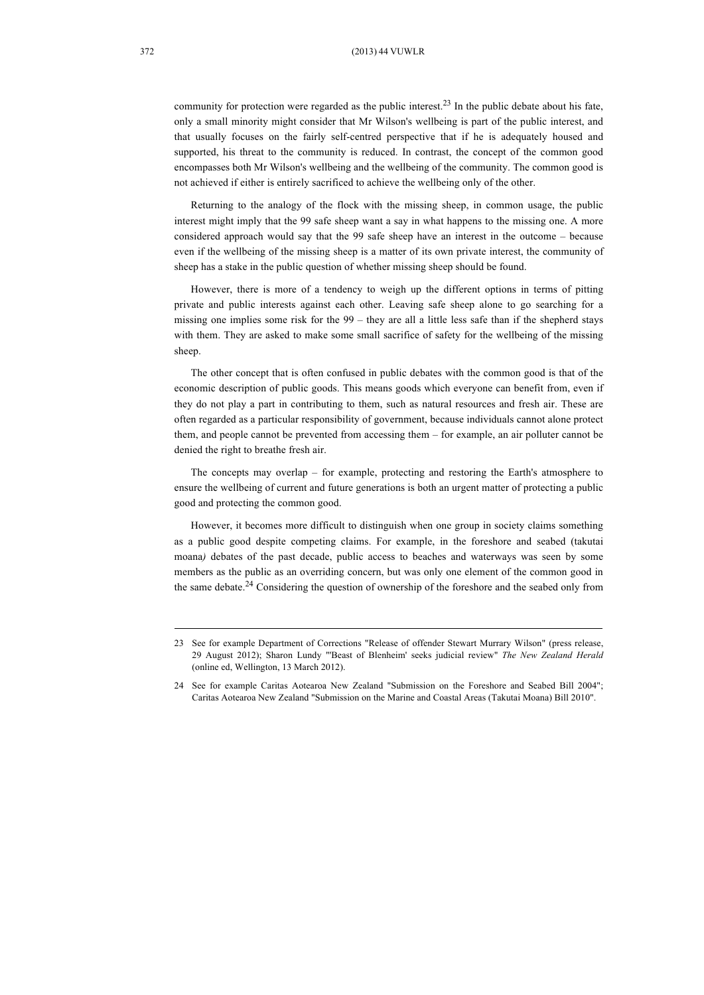community for protection were regarded as the public interest.<sup>23</sup> In the public debate about his fate, only a small minority might consider that Mr Wilson's wellbeing is part of the public interest, and that usually focuses on the fairly self-centred perspective that if he is adequately housed and supported, his threat to the community is reduced. In contrast, the concept of the common good encompasses both Mr Wilson's wellbeing and the wellbeing of the community. The common good is not achieved if either is entirely sacrificed to achieve the wellbeing only of the other.

Returning to the analogy of the flock with the missing sheep, in common usage, the public interest might imply that the 99 safe sheep want a say in what happens to the missing one. A more considered approach would say that the 99 safe sheep have an interest in the outcome – because even if the wellbeing of the missing sheep is a matter of its own private interest, the community of sheep has a stake in the public question of whether missing sheep should be found.

However, there is more of a tendency to weigh up the different options in terms of pitting private and public interests against each other. Leaving safe sheep alone to go searching for a missing one implies some risk for the  $99 -$  they are all a little less safe than if the shepherd stays with them. They are asked to make some small sacrifice of safety for the wellbeing of the missing sheep.

The other concept that is often confused in public debates with the common good is that of the economic description of public goods. This means goods which everyone can benefit from, even if they do not play a part in contributing to them, such as natural resources and fresh air. These are often regarded as a particular responsibility of government, because individuals cannot alone protect them, and people cannot be prevented from accessing them – for example, an air polluter cannot be denied the right to breathe fresh air.

The concepts may overlap – for example, protecting and restoring the Earth's atmosphere to ensure the wellbeing of current and future generations is both an urgent matter of protecting a public good and protecting the common good.

However, it becomes more difficult to distinguish when one group in society claims something as a public good despite competing claims. For example, in the foreshore and seabed (takutai moana*)* debates of the past decade, public access to beaches and waterways was seen by some members as the public as an overriding concern, but was only one element of the common good in the same debate.<sup>24</sup> Considering the question of ownership of the foreshore and the seabed only from

<sup>23</sup> See for example Department of Corrections "Release of offender Stewart Murrary Wilson" (press release, 29 August 2012); Sharon Lundy "'Beast of Blenheim' seeks judicial review" *The New Zealand Herald* (online ed, Wellington, 13 March 2012).

<sup>24</sup> See for example Caritas Aotearoa New Zealand "Submission on the Foreshore and Seabed Bill 2004"; Caritas Aotearoa New Zealand "Submission on the Marine and Coastal Areas (Takutai Moana) Bill 2010".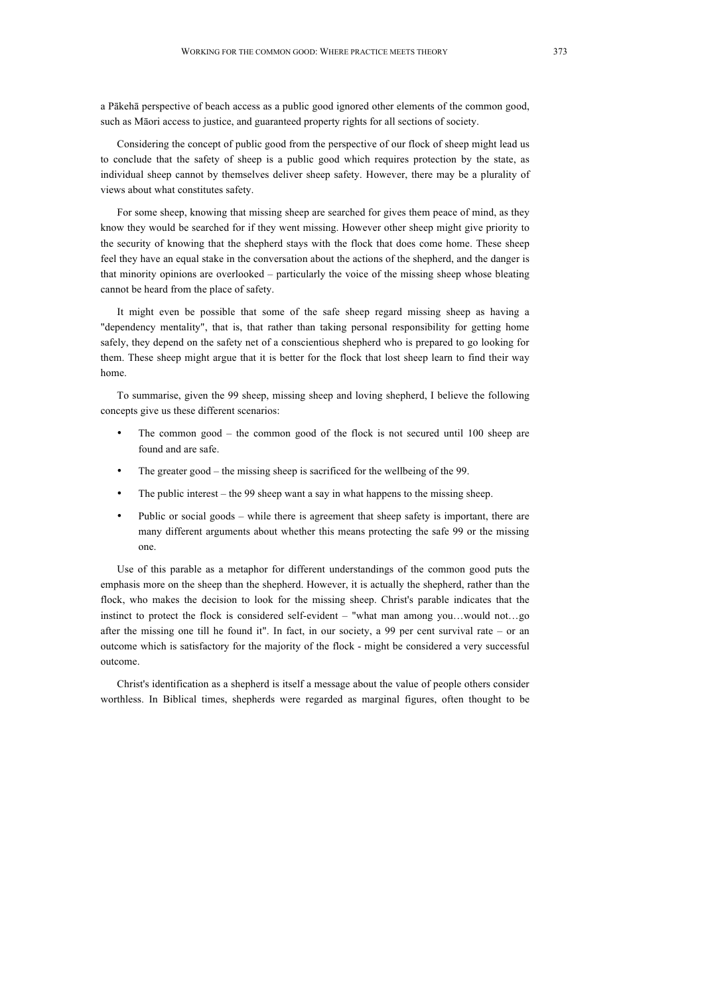a Pākehā perspective of beach access as a public good ignored other elements of the common good, such as Māori access to justice, and guaranteed property rights for all sections of society.

Considering the concept of public good from the perspective of our flock of sheep might lead us to conclude that the safety of sheep is a public good which requires protection by the state, as individual sheep cannot by themselves deliver sheep safety. However, there may be a plurality of views about what constitutes safety.

For some sheep, knowing that missing sheep are searched for gives them peace of mind, as they know they would be searched for if they went missing. However other sheep might give priority to the security of knowing that the shepherd stays with the flock that does come home. These sheep feel they have an equal stake in the conversation about the actions of the shepherd, and the danger is that minority opinions are overlooked – particularly the voice of the missing sheep whose bleating cannot be heard from the place of safety.

It might even be possible that some of the safe sheep regard missing sheep as having a "dependency mentality", that is, that rather than taking personal responsibility for getting home safely, they depend on the safety net of a conscientious shepherd who is prepared to go looking for them. These sheep might argue that it is better for the flock that lost sheep learn to find their way home.

To summarise, given the 99 sheep, missing sheep and loving shepherd, I believe the following concepts give us these different scenarios:

- The common good the common good of the flock is not secured until 100 sheep are found and are safe.
- The greater good the missing sheep is sacrificed for the wellbeing of the 99.
- The public interest the 99 sheep want a say in what happens to the missing sheep.
- Public or social goods while there is agreement that sheep safety is important, there are many different arguments about whether this means protecting the safe 99 or the missing one.

Use of this parable as a metaphor for different understandings of the common good puts the emphasis more on the sheep than the shepherd. However, it is actually the shepherd, rather than the flock, who makes the decision to look for the missing sheep. Christ's parable indicates that the instinct to protect the flock is considered self-evident – "what man among you…would not…go after the missing one till he found it". In fact, in our society, a 99 per cent survival rate – or an outcome which is satisfactory for the majority of the flock - might be considered a very successful outcome.

Christ's identification as a shepherd is itself a message about the value of people others consider worthless. In Biblical times, shepherds were regarded as marginal figures, often thought to be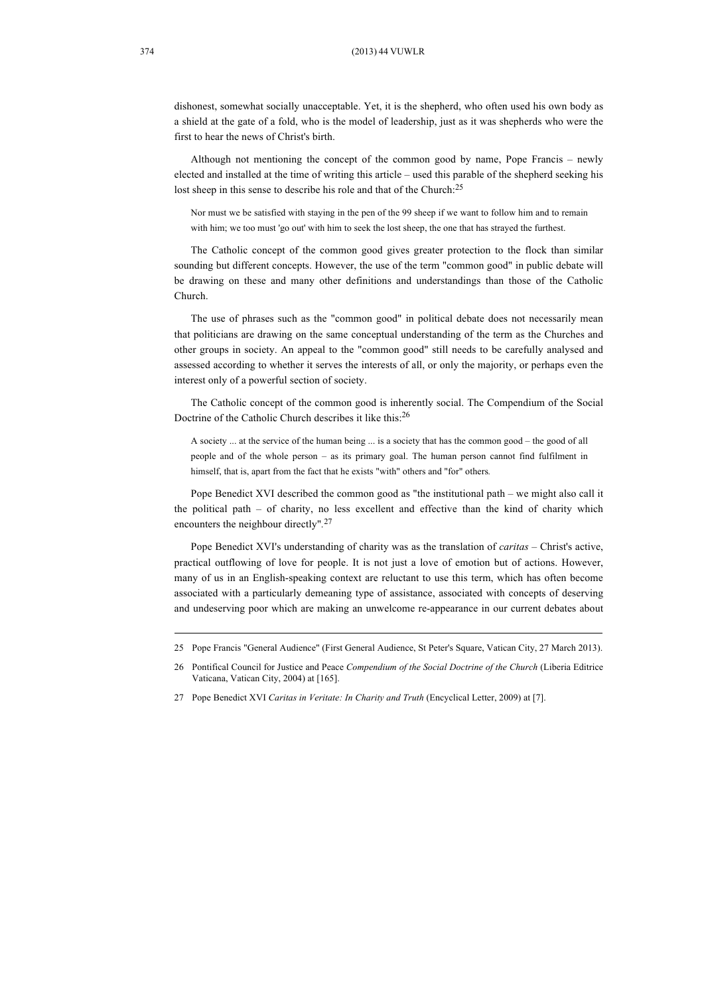dishonest, somewhat socially unacceptable. Yet, it is the shepherd, who often used his own body as a shield at the gate of a fold, who is the model of leadership, just as it was shepherds who were the first to hear the news of Christ's birth.

Although not mentioning the concept of the common good by name, Pope Francis – newly elected and installed at the time of writing this article – used this parable of the shepherd seeking his lost sheep in this sense to describe his role and that of the Church:<sup>25</sup>

Nor must we be satisfied with staying in the pen of the 99 sheep if we want to follow him and to remain with him; we too must 'go out' with him to seek the lost sheep, the one that has strayed the furthest.

The Catholic concept of the common good gives greater protection to the flock than similar sounding but different concepts. However, the use of the term "common good" in public debate will be drawing on these and many other definitions and understandings than those of the Catholic Church.

The use of phrases such as the "common good" in political debate does not necessarily mean that politicians are drawing on the same conceptual understanding of the term as the Churches and other groups in society. An appeal to the "common good" still needs to be carefully analysed and assessed according to whether it serves the interests of all, or only the majority, or perhaps even the interest only of a powerful section of society.

The Catholic concept of the common good is inherently social. The Compendium of the Social Doctrine of the Catholic Church describes it like this:26

A society ... at the service of the human being ... is a society that has the common good – the good of all people and of the whole person – as its primary goal. The human person cannot find fulfilment in himself, that is, apart from the fact that he exists "with" others and "for" others*.* 

Pope Benedict XVI described the common good as "the institutional path – we might also call it the political path – of charity, no less excellent and effective than the kind of charity which encounters the neighbour directly"*.* 27

Pope Benedict XVI's understanding of charity was as the translation of *caritas* – Christ's active, practical outflowing of love for people. It is not just a love of emotion but of actions. However, many of us in an English-speaking context are reluctant to use this term, which has often become associated with a particularly demeaning type of assistance, associated with concepts of deserving and undeserving poor which are making an unwelcome re-appearance in our current debates about

<sup>25</sup> Pope Francis "General Audience" (First General Audience, St Peter's Square, Vatican City, 27 March 2013).

<sup>26</sup> Pontifical Council for Justice and Peace *Compendium of the Social Doctrine of the Church* (Liberia Editrice Vaticana, Vatican City, 2004) at [165].

<sup>27</sup> Pope Benedict XVI *Caritas in Veritate: In Charity and Truth* (Encyclical Letter, 2009) at [7].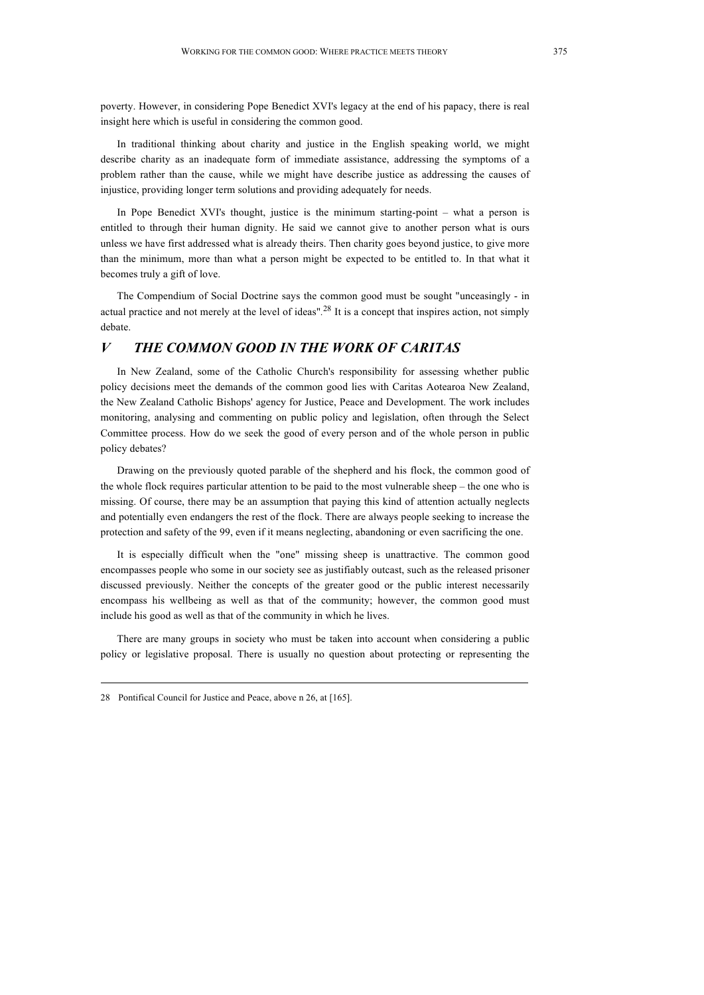poverty. However, in considering Pope Benedict XVI's legacy at the end of his papacy, there is real insight here which is useful in considering the common good.

In traditional thinking about charity and justice in the English speaking world, we might describe charity as an inadequate form of immediate assistance, addressing the symptoms of a problem rather than the cause, while we might have describe justice as addressing the causes of injustice, providing longer term solutions and providing adequately for needs.

In Pope Benedict XVI's thought, justice is the minimum starting-point – what a person is entitled to through their human dignity. He said we cannot give to another person what is ours unless we have first addressed what is already theirs. Then charity goes beyond justice, to give more than the minimum, more than what a person might be expected to be entitled to. In that what it becomes truly a gift of love.

The Compendium of Social Doctrine says the common good must be sought "unceasingly - in actual practice and not merely at the level of ideas"*.* <sup>28</sup> It is a concept that inspires action, not simply debate.

## *V THE COMMON GOOD IN THE WORK OF CARITAS*

In New Zealand, some of the Catholic Church's responsibility for assessing whether public policy decisions meet the demands of the common good lies with Caritas Aotearoa New Zealand, the New Zealand Catholic Bishops' agency for Justice, Peace and Development. The work includes monitoring, analysing and commenting on public policy and legislation, often through the Select Committee process. How do we seek the good of every person and of the whole person in public policy debates?

Drawing on the previously quoted parable of the shepherd and his flock, the common good of the whole flock requires particular attention to be paid to the most vulnerable sheep – the one who is missing. Of course, there may be an assumption that paying this kind of attention actually neglects and potentially even endangers the rest of the flock. There are always people seeking to increase the protection and safety of the 99, even if it means neglecting, abandoning or even sacrificing the one.

It is especially difficult when the "one" missing sheep is unattractive. The common good encompasses people who some in our society see as justifiably outcast, such as the released prisoner discussed previously. Neither the concepts of the greater good or the public interest necessarily encompass his wellbeing as well as that of the community; however, the common good must include his good as well as that of the community in which he lives.

There are many groups in society who must be taken into account when considering a public policy or legislative proposal. There is usually no question about protecting or representing the

<sup>28</sup> Pontifical Council for Justice and Peace, above n 26, at [165].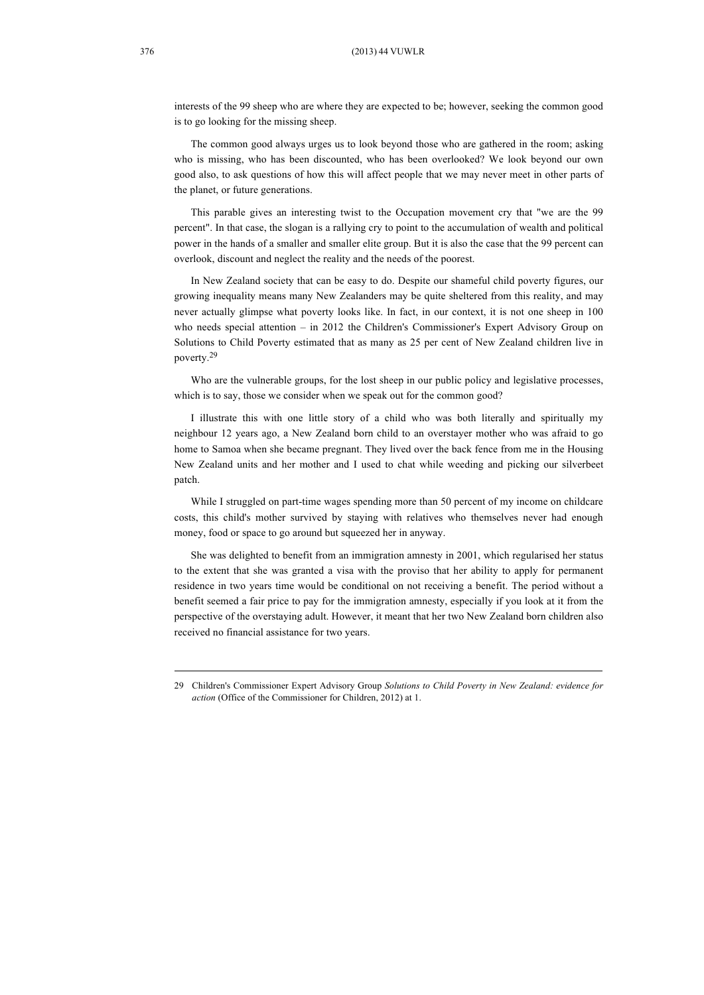#### 376 (2013) 44 VUWLR

interests of the 99 sheep who are where they are expected to be; however, seeking the common good is to go looking for the missing sheep.

The common good always urges us to look beyond those who are gathered in the room; asking who is missing, who has been discounted, who has been overlooked? We look beyond our own good also, to ask questions of how this will affect people that we may never meet in other parts of the planet, or future generations.

This parable gives an interesting twist to the Occupation movement cry that "we are the 99 percent". In that case, the slogan is a rallying cry to point to the accumulation of wealth and political power in the hands of a smaller and smaller elite group. But it is also the case that the 99 percent can overlook, discount and neglect the reality and the needs of the poorest.

In New Zealand society that can be easy to do. Despite our shameful child poverty figures, our growing inequality means many New Zealanders may be quite sheltered from this reality, and may never actually glimpse what poverty looks like. In fact, in our context, it is not one sheep in 100 who needs special attention – in 2012 the Children's Commissioner's Expert Advisory Group on Solutions to Child Poverty estimated that as many as 25 per cent of New Zealand children live in poverty.<sup>29</sup>

Who are the vulnerable groups, for the lost sheep in our public policy and legislative processes, which is to say, those we consider when we speak out for the common good?

I illustrate this with one little story of a child who was both literally and spiritually my neighbour 12 years ago, a New Zealand born child to an overstayer mother who was afraid to go home to Samoa when she became pregnant. They lived over the back fence from me in the Housing New Zealand units and her mother and I used to chat while weeding and picking our silverbeet patch.

While I struggled on part-time wages spending more than 50 percent of my income on childcare costs, this child's mother survived by staying with relatives who themselves never had enough money, food or space to go around but squeezed her in anyway.

She was delighted to benefit from an immigration amnesty in 2001, which regularised her status to the extent that she was granted a visa with the proviso that her ability to apply for permanent residence in two years time would be conditional on not receiving a benefit. The period without a benefit seemed a fair price to pay for the immigration amnesty, especially if you look at it from the perspective of the overstaying adult. However, it meant that her two New Zealand born children also received no financial assistance for two years.

<sup>29</sup> Children's Commissioner Expert Advisory Group *Solutions to Child Poverty in New Zealand: evidence for action* (Office of the Commissioner for Children, 2012) at 1.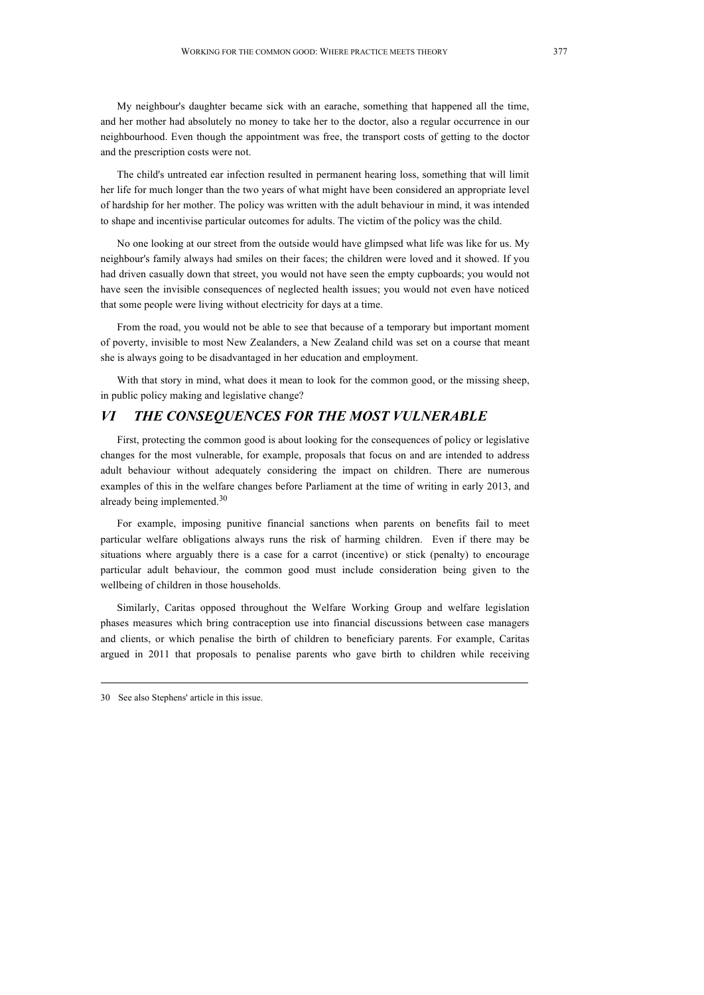My neighbour's daughter became sick with an earache, something that happened all the time, and her mother had absolutely no money to take her to the doctor, also a regular occurrence in our neighbourhood. Even though the appointment was free, the transport costs of getting to the doctor and the prescription costs were not.

The child's untreated ear infection resulted in permanent hearing loss, something that will limit her life for much longer than the two years of what might have been considered an appropriate level of hardship for her mother. The policy was written with the adult behaviour in mind, it was intended to shape and incentivise particular outcomes for adults. The victim of the policy was the child.

No one looking at our street from the outside would have glimpsed what life was like for us. My neighbour's family always had smiles on their faces; the children were loved and it showed. If you had driven casually down that street, you would not have seen the empty cupboards; you would not have seen the invisible consequences of neglected health issues; you would not even have noticed that some people were living without electricity for days at a time.

From the road, you would not be able to see that because of a temporary but important moment of poverty, invisible to most New Zealanders, a New Zealand child was set on a course that meant she is always going to be disadvantaged in her education and employment.

With that story in mind, what does it mean to look for the common good, or the missing sheep, in public policy making and legislative change?

## *VI THE CONSEQUENCES FOR THE MOST VULNERABLE*

First, protecting the common good is about looking for the consequences of policy or legislative changes for the most vulnerable, for example, proposals that focus on and are intended to address adult behaviour without adequately considering the impact on children. There are numerous examples of this in the welfare changes before Parliament at the time of writing in early 2013, and already being implemented.<sup>30</sup>

For example, imposing punitive financial sanctions when parents on benefits fail to meet particular welfare obligations always runs the risk of harming children. Even if there may be situations where arguably there is a case for a carrot (incentive) or stick (penalty) to encourage particular adult behaviour, the common good must include consideration being given to the wellbeing of children in those households.

Similarly, Caritas opposed throughout the Welfare Working Group and welfare legislation phases measures which bring contraception use into financial discussions between case managers and clients, or which penalise the birth of children to beneficiary parents. For example, Caritas argued in 2011 that proposals to penalise parents who gave birth to children while receiving

<sup>30</sup> See also Stephens' article in this issue.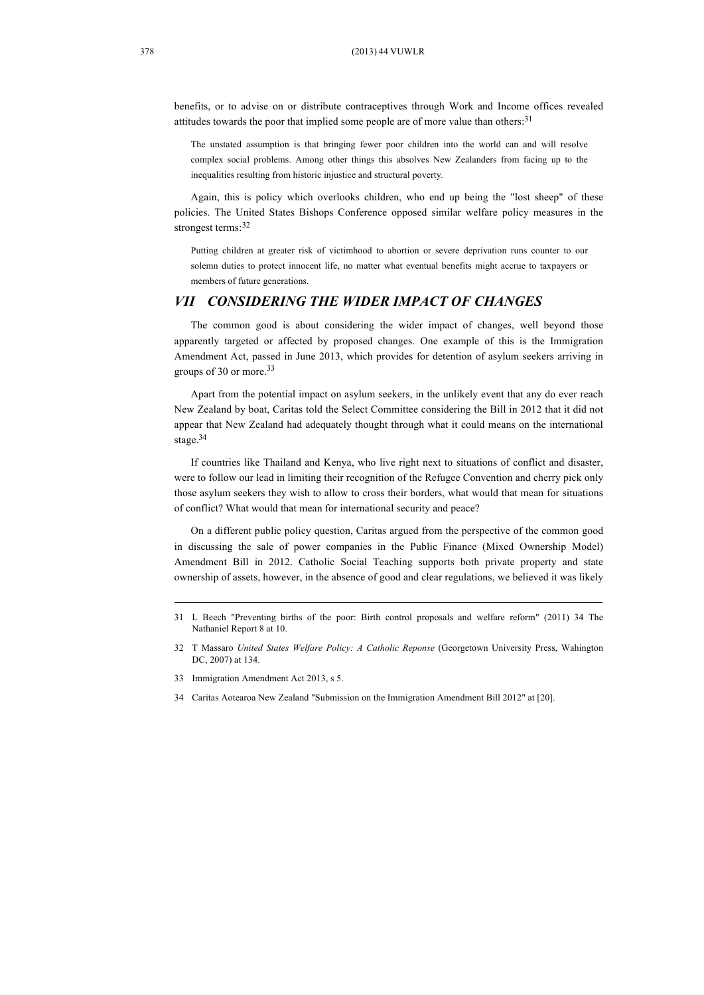benefits, or to advise on or distribute contraceptives through Work and Income offices revealed attitudes towards the poor that implied some people are of more value than others:<sup>31</sup>

The unstated assumption is that bringing fewer poor children into the world can and will resolve complex social problems. Among other things this absolves New Zealanders from facing up to the inequalities resulting from historic injustice and structural poverty*.* 

Again, this is policy which overlooks children, who end up being the "lost sheep" of these policies. The United States Bishops Conference opposed similar welfare policy measures in the strongest terms: 32

Putting children at greater risk of victimhood to abortion or severe deprivation runs counter to our solemn duties to protect innocent life, no matter what eventual benefits might accrue to taxpayers or members of future generations.

## *VII CONSIDERING THE WIDER IMPACT OF CHANGES*

The common good is about considering the wider impact of changes, well beyond those apparently targeted or affected by proposed changes. One example of this is the Immigration Amendment Act, passed in June 2013, which provides for detention of asylum seekers arriving in groups of 30 or more.33

Apart from the potential impact on asylum seekers, in the unlikely event that any do ever reach New Zealand by boat, Caritas told the Select Committee considering the Bill in 2012 that it did not appear that New Zealand had adequately thought through what it could means on the international stage.34

If countries like Thailand and Kenya, who live right next to situations of conflict and disaster, were to follow our lead in limiting their recognition of the Refugee Convention and cherry pick only those asylum seekers they wish to allow to cross their borders, what would that mean for situations of conflict? What would that mean for international security and peace?

On a different public policy question, Caritas argued from the perspective of the common good in discussing the sale of power companies in the Public Finance (Mixed Ownership Model) Amendment Bill in 2012. Catholic Social Teaching supports both private property and state ownership of assets, however, in the absence of good and clear regulations, we believed it was likely

<sup>31</sup> L Beech "Preventing births of the poor: Birth control proposals and welfare reform" (2011) 34 The Nathaniel Report 8 at 10.

<sup>32</sup> T Massaro *United States Welfare Policy: A Catholic Reponse* (Georgetown University Press, Wahington DC, 2007) at 134.

<sup>33</sup> Immigration Amendment Act 2013, s 5.

<sup>34</sup> Caritas Aotearoa New Zealand "Submission on the Immigration Amendment Bill 2012" at [20].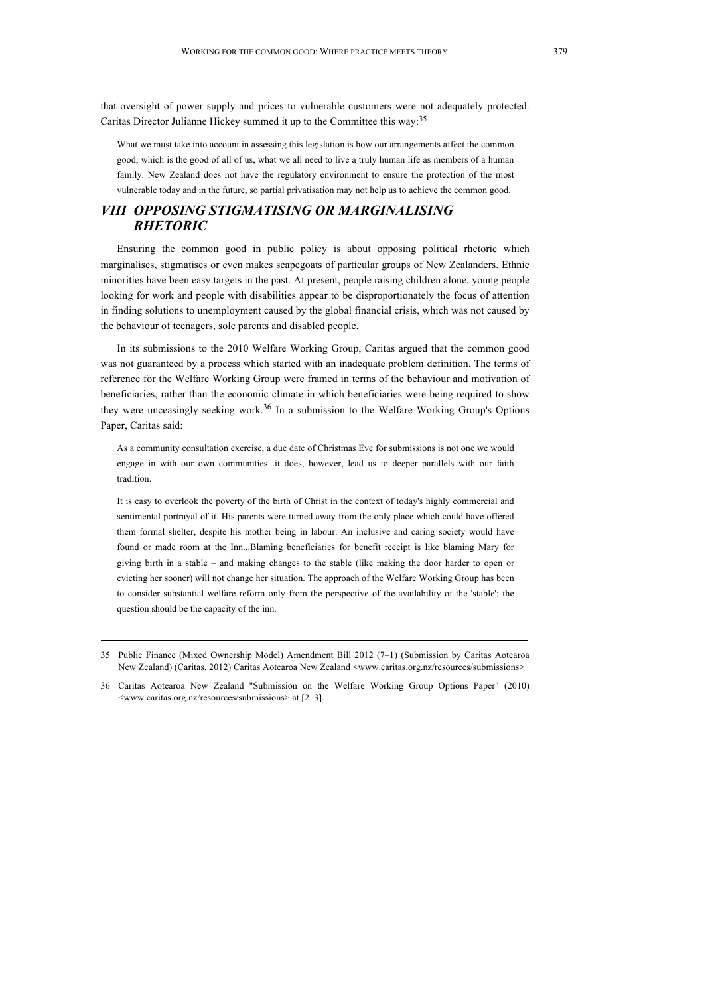that oversight of power supply and prices to vulnerable customers were not adequately protected. Caritas Director Julianne Hickey summed it up to the Committee this way:<sup>35</sup>

What we must take into account in assessing this legislation is how our arrangements affect the common good, which is the good of all of us, what we all need to live a truly human life as members of a human family. New Zealand does not have the regulatory environment to ensure the protection of the most vulnerable today and in the future, so partial privatisation may not help us to achieve the common good.

## *VIII OPPOSING STIGMATISING OR MARGINALISING RHETORIC*

Ensuring the common good in public policy is about opposing political rhetoric which marginalises, stigmatises or even makes scapegoats of particular groups of New Zealanders. Ethnic minorities have been easy targets in the past. At present, people raising children alone, young people looking for work and people with disabilities appear to be disproportionately the focus of attention in finding solutions to unemployment caused by the global financial crisis, which was not caused by the behaviour of teenagers, sole parents and disabled people.

In its submissions to the 2010 Welfare Working Group, Caritas argued that the common good was not guaranteed by a process which started with an inadequate problem definition. The terms of reference for the Welfare Working Group were framed in terms of the behaviour and motivation of beneficiaries, rather than the economic climate in which beneficiaries were being required to show they were unceasingly seeking work.<sup>36</sup> In a submission to the Welfare Working Group's Options Paper, Caritas said:

As a community consultation exercise, a due date of Christmas Eve for submissions is not one we would engage in with our own communities...it does, however, lead us to deeper parallels with our faith tradition.

It is easy to overlook the poverty of the birth of Christ in the context of today's highly commercial and sentimental portrayal of it. His parents were turned away from the only place which could have offered them formal shelter, despite his mother being in labour. An inclusive and caring society would have found or made room at the Inn...Blaming beneficiaries for benefit receipt is like blaming Mary for giving birth in a stable – and making changes to the stable (like making the door harder to open or evicting her sooner) will not change her situation. The approach of the Welfare Working Group has been to consider substantial welfare reform only from the perspective of the availability of the 'stable'; the question should be the capacity of the inn.

<sup>35</sup> Public Finance (Mixed Ownership Model) Amendment Bill 2012 (7–1) (Submission by Caritas Aotearoa New Zealand) (Caritas, 2012) Caritas Aotearoa New Zealand <www.caritas.org.nz/resources/submissions>

<sup>36</sup> Caritas Aotearoa New Zealand "Submission on the Welfare Working Group Options Paper" (2010) <www.caritas.org.nz/resources/submissions> at [2–3].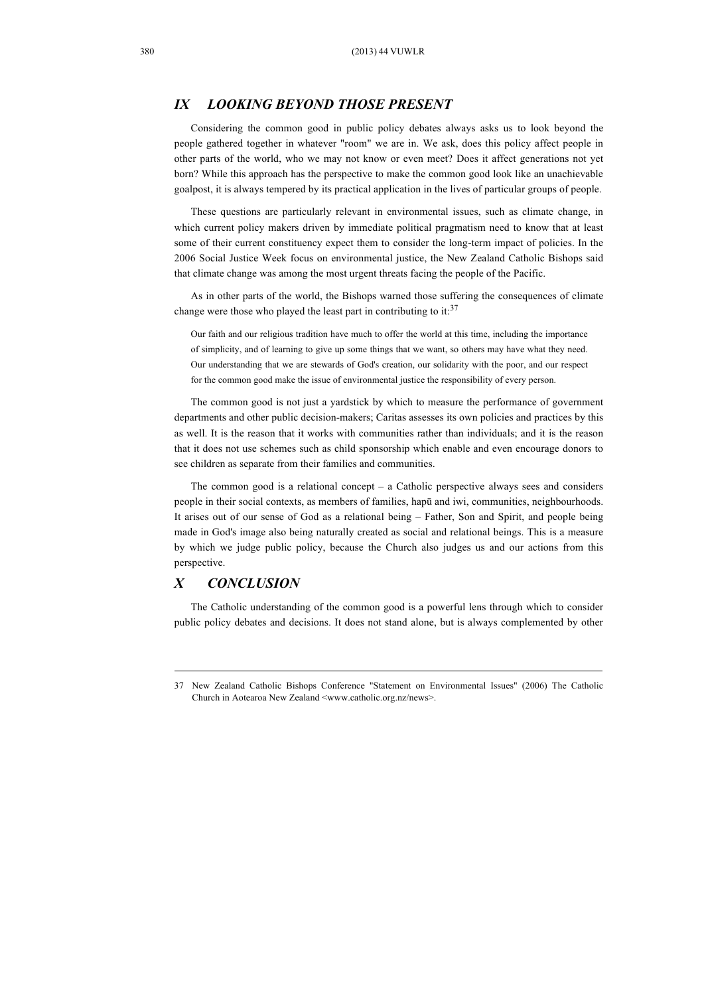## *IX LOOKING BEYOND THOSE PRESENT*

Considering the common good in public policy debates always asks us to look beyond the people gathered together in whatever "room" we are in. We ask, does this policy affect people in other parts of the world, who we may not know or even meet? Does it affect generations not yet born? While this approach has the perspective to make the common good look like an unachievable goalpost, it is always tempered by its practical application in the lives of particular groups of people.

These questions are particularly relevant in environmental issues, such as climate change, in which current policy makers driven by immediate political pragmatism need to know that at least some of their current constituency expect them to consider the long-term impact of policies. In the 2006 Social Justice Week focus on environmental justice, the New Zealand Catholic Bishops said that climate change was among the most urgent threats facing the people of the Pacific.

As in other parts of the world, the Bishops warned those suffering the consequences of climate change were those who played the least part in contributing to it: $37$ 

Our faith and our religious tradition have much to offer the world at this time, including the importance of simplicity, and of learning to give up some things that we want, so others may have what they need. Our understanding that we are stewards of God's creation, our solidarity with the poor, and our respect for the common good make the issue of environmental justice the responsibility of every person.

The common good is not just a yardstick by which to measure the performance of government departments and other public decision-makers; Caritas assesses its own policies and practices by this as well. It is the reason that it works with communities rather than individuals; and it is the reason that it does not use schemes such as child sponsorship which enable and even encourage donors to see children as separate from their families and communities.

The common good is a relational concept  $-$  a Catholic perspective always sees and considers people in their social contexts, as members of families, hapū and iwi, communities, neighbourhoods. It arises out of our sense of God as a relational being – Father, Son and Spirit, and people being made in God's image also being naturally created as social and relational beings. This is a measure by which we judge public policy, because the Church also judges us and our actions from this perspective.

### *X CONCLUSION*

The Catholic understanding of the common good is a powerful lens through which to consider public policy debates and decisions. It does not stand alone, but is always complemented by other

<sup>37</sup> New Zealand Catholic Bishops Conference "Statement on Environmental Issues" (2006) The Catholic Church in Aotearoa New Zealand <www.catholic.org.nz/news>.